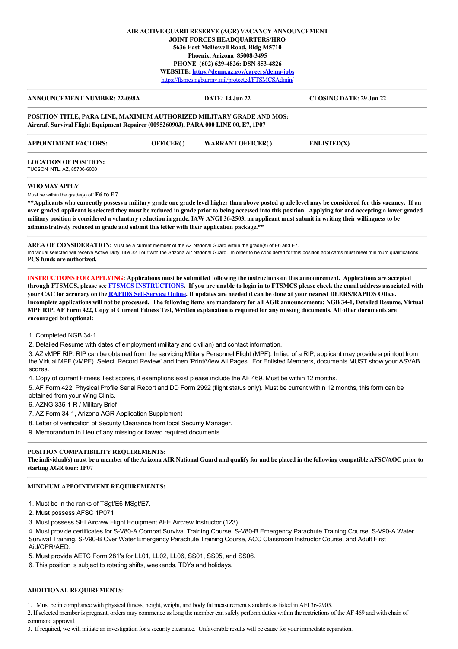### **AIR ACTIVE GUARD RESERVE (AGR) VACANCY ANNOUNCEMENT JOINT FORCES HEADQUARTERS/HRO 5636 East McDowell Road, Bldg M5710 Phoenix, Arizona 85008-3495 PHONE (602) 629-4826: DSN 853-4826 WEBSITE: <https://dema.az.gov/careers/dema-jobs>** <https://ftsmcs.ngb.army.mil/protected/FTSMCSAdmin/>

| <b>ANNOUNCEMENT NUMBER: 22-098A</b>                                                                                                                                  |                  | <b>DATE: 14 Jun 22</b>   | <b>CLOSING DATE: 29 Jun 22</b>                                                                                                                     |
|----------------------------------------------------------------------------------------------------------------------------------------------------------------------|------------------|--------------------------|----------------------------------------------------------------------------------------------------------------------------------------------------|
| <b>POSITION TITLE, PARA LINE, MAXIMUM AUTHORIZED MILITARY GRADE AND MOS:</b><br>Aircraft Survival Flight Equipment Repairer (009526090J), PARA 000 LINE 00, E7, 1P07 |                  |                          |                                                                                                                                                    |
| <b>APPOINTMENT FACTORS:</b>                                                                                                                                          | <b>OFFICER()</b> | <b>WARRANT OFFICER()</b> | <b>ENLISTED(X)</b>                                                                                                                                 |
| <b>LOCATION OF POSITION:</b>                                                                                                                                         |                  |                          |                                                                                                                                                    |
| TUCSON INTL, AZ, 85706-6000                                                                                                                                          |                  |                          |                                                                                                                                                    |
| WHO MAY APPLY                                                                                                                                                        |                  |                          |                                                                                                                                                    |
| Must be within the grade(s) of: $E6$ to $E7$                                                                                                                         |                  |                          |                                                                                                                                                    |
|                                                                                                                                                                      |                  |                          | **Annlicents who currently possess a military grade one grade level higher than above posted grade level may be considered for this vacancy. If an |

**\*\*Applicants who currently possess a military grade one grade level higher than above posted grade level may be considered for this vacancy. If an over graded applicant is selected they must be reduced in grade prior to being accessed into this position. Applying for and accepting a lower graded military position is considered a voluntary reduction in grade. IAW ANGI 36-2503, an applicant must submit in writing their willingness to be administratively reduced in grade and submit this letter with their application package.\*\***

**AREA OF CONSIDERATION:** Must be a current member of the AZ National Guard within the grade(s) of E6 and E7. Individual selected will receive Active Duty Title 32 Tour with the Arizona Air National Guard. In order to be considered for this position applicants must meet minimum qualifications. **PCS funds are authorized.**

**INSTRUCTIONS FOR APPLYING: Applications must be submitted following the instructions on this announcement. Applications are accepted through FTSMCS, please see [FTSMCS INSTRUCTIONS.](https://dema.az.gov/sites/default/files/HRO%20Important%20Documents/FTSMCS%20Application%20instructions.pdf) If you are unable to login in to FTSMCS please check the email address associated with your CAC for accuracy on the [RAPIDS Self-Service Online.](https://pki.dmdc.osd.mil/self_service/rapids/unauthenticated?execution=e1s1) If updates are needed it can be done at your nearest DEERS/RAPIDS Office. Incomplete applications will not be processed. The following items are mandatory for all AGR announcements: NGB 34-1, Detailed Resume, Virtual MPF RIP, AF Form 422, Copy of Current Fitness Test, Written explanation is required for any missing documents. All other documents are encouraged but optional:**

1. Completed NGB 34-1

2. Detailed Resume with dates of employment (military and civilian) and contact information.

3. AZ vMPF RIP. RIP can be obtained from the servicing Military Personnel Flight (MPF). In lieu of a RIP, applicant may provide a printout from the Virtual MPF (vMPF). Select 'Record Review' and then 'Print/View All Pages'. For Enlisted Members, documents MUST show your ASVAB scores.

4. Copy of current Fitness Test scores, if exemptions exist please include the AF 469. Must be within 12 months.

5. AF Form 422, Physical Profile Serial Report and DD Form 2992 (flight status only). Must be current within 12 months, this form can be obtained from your Wing Clinic.

6. AZNG 335-1-R / Military Brief

7. AZ Form 34-1, Arizona AGR Application Supplement

8. Letter of verification of Security Clearance from local Security Manager.

9. Memorandum in Lieu of any missing or flawed required documents.

# **POSITION COMPATIBILITY REQUIREMENTS:**

**The individual(s) must be a member of the Arizona AIR National Guard and qualify for and be placed in the following compatible AFSC/AOC prior to starting AGR tour: 1P07**

# **MINIMUM APPOINTMENT REQUIREMENTS:**

1. Must be in the ranks of TSgt/E6-MSgt/E7.

2. Must possess AFSC 1P071

3. Must possess SEI Aircrew Flight Equipment AFE Aircrew Instructor (123).

4. Must provide certificates for S-V80-A Combat Survival Training Course, S-V80-B Emergency Parachute Training Course, S-V90-A Water Survival Training, S-V90-B Over Water Emergency Parachute Training Course, ACC Classroom Instructor Course, and Adult First Aid/CPR/AED.

5. Must provide AETC Form 281's for LL01, LL02, LL06, SS01, SS05, and SS06.

6. This position is subject to rotating shifts, weekends, TDYs and holidays.

#### **ADDITIONAL REQUIREMENTS**:

1. Must be in compliance with physical fitness, height, weight, and body fat measurement standards as listed in AFI 36-2905.

2. If selected member is pregnant, orders may commence as long the member can safely perform duties within the restrictions of the AF 469 and with chain of command approval.

3. If required, we will initiate an investigation for a security clearance. Unfavorable results will be cause for your immediate separation.